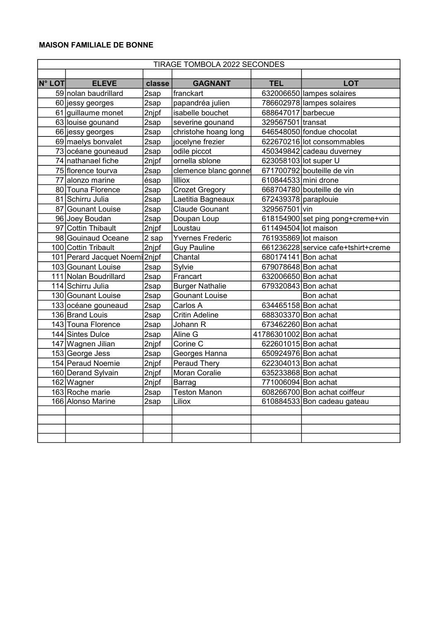| TIRAGE TOMBOLA 2022 SECONDES |                                |          |                         |                       |                                     |  |
|------------------------------|--------------------------------|----------|-------------------------|-----------------------|-------------------------------------|--|
|                              |                                |          |                         |                       |                                     |  |
| <b>N° LOT</b>                | <b>ELEVE</b>                   | classe   | <b>GAGNANT</b>          | <b>TEL</b>            | <b>LOT</b>                          |  |
|                              | 59 nolan baudrillard           | 2sap     | franckart               |                       | 632006650 lampes solaires           |  |
|                              | 60 jessy georges               | 2sap     | papandréa julien        |                       | 786602978 lampes solaires           |  |
|                              | 61 guillaume monet             | 2njpf    | isabelle bouchet        | 688647017 barbecue    |                                     |  |
|                              | 63 louise gounand              | 2sap     | severine gounand        | 329567501 transat     |                                     |  |
|                              | 66 jessy georges               | $2$ sap  | christohe hoang long    |                       | 646548050 fondue chocolat           |  |
|                              | 69 maelys bonvalet             | 2sap     | jocelyne frezier        |                       | 622670216 lot consommables          |  |
|                              | 73 océane gouneaud             | 2sap     | odile piccot            |                       | 450349842 cadeau duverney           |  |
|                              | 74 nathanael fiche             | 2njpf    | ornella sblone          | 623058103 lot super U |                                     |  |
|                              | 75 florence tourva             | 2sap     | clemence blanc gonnet   |                       | 671700792 bouteille de vin          |  |
|                              | 77 alonzo marine               | ésap     | lilliox                 | 610844533 mini drone  |                                     |  |
|                              | 80 Touna Florence              | 2sap     | <b>Crozet Gregory</b>   |                       | 668704780 bouteille de vin          |  |
|                              | 81 Schirru Julia               | 2sap     | Laetitia Bagneaux       | 672439378 paraplouie  |                                     |  |
|                              | 87 Gounant Louise              | 2sap     | <b>Claude Gounant</b>   | 329567501 vin         |                                     |  |
|                              | 96 Joey Boudan                 | 2sap     | Doupan Loup             |                       | 618154900 set ping pong+creme+vin   |  |
|                              | 97 Cottin Thibault             | 2njpf    | Loustau                 | 611494504 lot maison  |                                     |  |
|                              | 98 Gouinaud Oceane             | 2 sap    | <b>Yvernes Frederic</b> | 761935869 lot maison  |                                     |  |
|                              | 100 Cottin Tribault            | 2njpf    | <b>Guy Pauline</b>      |                       | 661236228 service cafe+tshirt+creme |  |
|                              | 101 Perard Jacquet Noemi 2njpf |          | Chantal                 | 680174141 Bon achat   |                                     |  |
|                              | 103 Gounant Louise             | 2sap     | Sylvie                  | 679078648 Bon achat   |                                     |  |
|                              | 111 Nolan Boudrillard          | 2sap     | Francart                | 632006650 Bon achat   |                                     |  |
|                              | 114 Schirru Julia              | 2sap     | <b>Burger Nathalie</b>  | 679320843 Bon achat   |                                     |  |
|                              | 130 Gounant Louise             | $2$ sap  | <b>Gounant Louise</b>   |                       | Bon achat                           |  |
|                              | 133 océane gouneaud            | $2$ sap  | Carlos A                | 634465158 Bon achat   |                                     |  |
|                              | 136 Brand Louis                | $2$ sap  | <b>Critin Adeline</b>   | 688303370 Bon achat   |                                     |  |
|                              | 143 Touna Florence             | $2$ sap  | Johann R                | 673462260 Bon achat   |                                     |  |
|                              | 144 Sintes Dulce               | $2$ sap  | Aline G                 | 41786301002 Bon achat |                                     |  |
|                              | 147 Wagnen Jilian              | $2$ njpf | Corine C                | 622601015 Bon achat   |                                     |  |
|                              | 153 George Jess                | 2sap     | Georges Hanna           | 650924976 Bon achat   |                                     |  |
|                              | 154 Peraud Noemie              | 2njpf    | Peraud Thery            | 622304013 Bon achat   |                                     |  |
|                              | 160 Derand Sylvain             | 2njpf    | Moran Coralie           | 635233868 Bon achat   |                                     |  |
|                              | 162 Wagner                     | 2njpf    | Barrag                  | 771006094 Bon achat   |                                     |  |
|                              | 163 Roche marie                | 2sap     | <b>Teston Manon</b>     |                       | 608266700 Bon achat coiffeur        |  |
|                              | 166 Alonso Marine              | 2sap     | Liliox                  |                       | 610884533 Bon cadeau gateau         |  |
|                              |                                |          |                         |                       |                                     |  |
|                              |                                |          |                         |                       |                                     |  |
|                              |                                |          |                         |                       |                                     |  |
|                              |                                |          |                         |                       |                                     |  |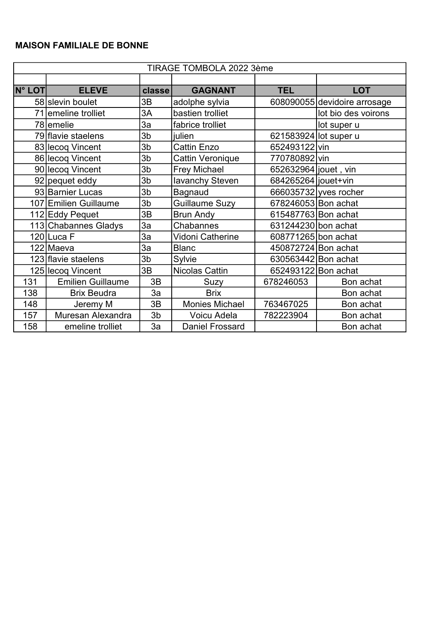| TIRAGE TOMBOLA 2022 3ème |                          |                |                        |                       |                              |  |  |
|--------------------------|--------------------------|----------------|------------------------|-----------------------|------------------------------|--|--|
|                          |                          |                |                        |                       |                              |  |  |
| <b>N° LOT</b>            | <b>ELEVE</b>             | classe         | <b>GAGNANT</b>         | <b>TEL</b>            | <b>LOT</b>                   |  |  |
|                          | 58 slevin boulet         | 3B             | adolphe sylvia         |                       | 608090055 devidoire arrosage |  |  |
|                          | 71 emeline trolliet      | 3A             | bastien trolliet       |                       | lot bio des voirons          |  |  |
|                          | 78 emelie                | 3a             | fabrice trolliet       |                       | lot super u                  |  |  |
|                          | 79 flavie staelens       | 3b             | julien                 | 621583924 lot super u |                              |  |  |
|                          | 83 lecoq Vincent         | 3b             | <b>Cattin Enzo</b>     | 652493122 vin         |                              |  |  |
|                          | 86 lecoq Vincent         | 3 <sub>b</sub> | Cattin Veronique       | 770780892 vin         |                              |  |  |
|                          | 90 lecoq Vincent         | 3 <sub>b</sub> | <b>Frey Michael</b>    | 652632964 jouet, vin  |                              |  |  |
|                          | 92 pequet eddy           | 3b             | lavanchy Steven        | 684265264 jouet+vin   |                              |  |  |
|                          | 93 Barnier Lucas         | 3b             | Bagnaud                |                       | 666035732 yves rocher        |  |  |
|                          | 107 Emilien Guillaume    | 3 <sub>b</sub> | Guillaume Suzy         | 678246053 Bon achat   |                              |  |  |
|                          | 112 Eddy Pequet          | 3B             | <b>Brun Andy</b>       | 615487763 Bon achat   |                              |  |  |
|                          | 113 Chabannes Gladys     | 3a             | Chabannes              | 631244230 bon achat   |                              |  |  |
|                          | 120 Luca F               | 3a             | Vidoni Catherine       | 608771265 bon achat   |                              |  |  |
|                          | 122 Maeva                | 3a             | <b>Blanc</b>           | 450872724 Bon achat   |                              |  |  |
|                          | 123 flavie staelens      | 3 <sub>b</sub> | Sylvie                 | 630563442 Bon achat   |                              |  |  |
|                          | 125 lecog Vincent        | 3B             | <b>Nicolas Cattin</b>  | 652493122 Bon achat   |                              |  |  |
| 131                      | <b>Emilien Guillaume</b> | 3B             | Suzy                   | 678246053             | Bon achat                    |  |  |
| 138                      | <b>Brix Beudra</b>       | 3a             | <b>Brix</b>            |                       | Bon achat                    |  |  |
| 148                      | Jeremy M                 | 3B             | <b>Monies Michael</b>  | 763467025             | Bon achat                    |  |  |
| 157                      | Muresan Alexandra        | 3b             | Voicu Adela            | 782223904             | Bon achat                    |  |  |
| 158                      | emeline trolliet         | 3a             | <b>Daniel Frossard</b> |                       | Bon achat                    |  |  |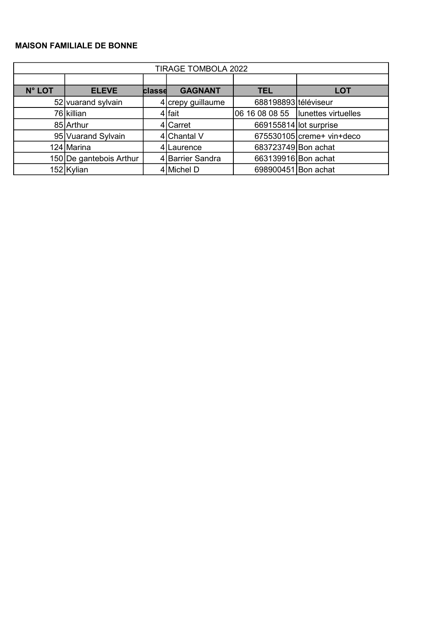| <b>TIRAGE TOMBOLA 2022</b> |                         |        |                   |                        |                                     |  |  |
|----------------------------|-------------------------|--------|-------------------|------------------------|-------------------------------------|--|--|
|                            |                         |        |                   |                        |                                     |  |  |
| <b>N° LOT</b>              | <b>ELEVE</b>            | classe | <b>GAGNANT</b>    | <b>TEL</b>             | <b>LOT</b>                          |  |  |
|                            | 52 vuarand sylvain      |        | 4 crepy guillaume | 688198893 téléviseur   |                                     |  |  |
|                            | 76 killian              |        | 4 fait            |                        | 06 16 08 08 55  lunettes virtuelles |  |  |
|                            | 85 Arthur               |        | 4 Carret          | 669155814 lot surprise |                                     |  |  |
|                            | 95 Vuarand Sylvain      |        | 4 Chantal V       |                        | $675530105$ creme+ vin+deco         |  |  |
|                            | 124 Marina              |        | 4 Laurence        | 683723749 Bon achat    |                                     |  |  |
|                            | 150 De gantebois Arthur |        | 4 Barrier Sandra  | 663139916 Bon achat    |                                     |  |  |
|                            | 152 Kylian              |        | $4$ Michel D      | 698900451 Bon achat    |                                     |  |  |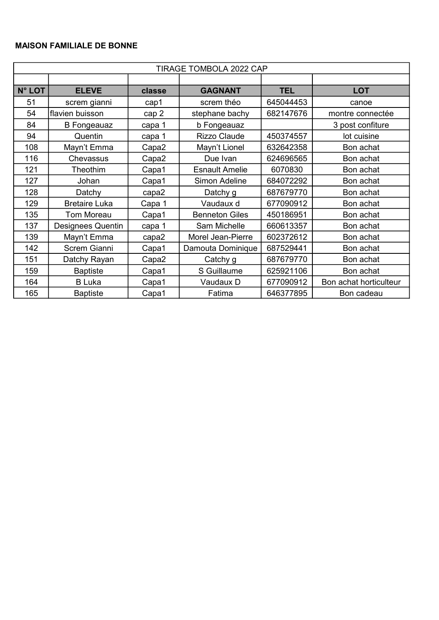| TIRAGE TOMBOLA 2022 CAP |                          |        |                       |            |                        |  |
|-------------------------|--------------------------|--------|-----------------------|------------|------------------------|--|
|                         |                          |        |                       |            |                        |  |
| N° LOT                  | <b>ELEVE</b>             | classe | <b>GAGNANT</b>        | <b>TEL</b> | <b>LOT</b>             |  |
| 51                      | screm gianni             | cap1   | screm théo            | 645044453  | canoe                  |  |
| 54                      | flavien buisson          | cap 2  | stephane bachy        | 682147676  | montre connectée       |  |
| 84                      | <b>B</b> Fongeauaz       | capa 1 | b Fongeauaz           |            | 3 post confiture       |  |
| 94                      | Quentin                  | capa 1 | <b>Rizzo Claude</b>   | 450374557  | lot cuisine            |  |
| 108                     | Mayn't Emma              | Capa2  | Mayn't Lionel         | 632642358  | Bon achat              |  |
| 116                     | Chevassus                | Capa2  | Due Ivan              | 624696565  | Bon achat              |  |
| 121                     | Theothim                 | Capa1  | <b>Esnault Amelie</b> | 6070830    | Bon achat              |  |
| 127                     | Johan                    | Capa1  | Simon Adeline         | 684072292  | Bon achat              |  |
| 128                     | Datchy                   | capa2  | Datchy g              | 687679770  | Bon achat              |  |
| 129                     | <b>Bretaire Luka</b>     | Capa 1 | Vaudaux d             | 677090912  | Bon achat              |  |
| 135                     | Tom Moreau               | Capa1  | <b>Benneton Giles</b> | 450186951  | Bon achat              |  |
| 137                     | <b>Designees Quentin</b> | capa 1 | Sam Michelle          | 660613357  | Bon achat              |  |
| 139                     | Mayn't Emma              | capa2  | Morel Jean-Pierre     | 602372612  | Bon achat              |  |
| 142                     | Screm Gianni             | Capa1  | Damouta Dominique     | 687529441  | Bon achat              |  |
| 151                     | Datchy Rayan             | Capa2  | Catchy g              | 687679770  | Bon achat              |  |
| 159                     | <b>Baptiste</b>          | Capa1  | S Guillaume           | 625921106  | Bon achat              |  |
| 164                     | <b>B</b> Luka            | Capa1  | Vaudaux D             | 677090912  | Bon achat horticulteur |  |
| 165                     | <b>Baptiste</b>          | Capa1  | Fatima                | 646377895  | Bon cadeau             |  |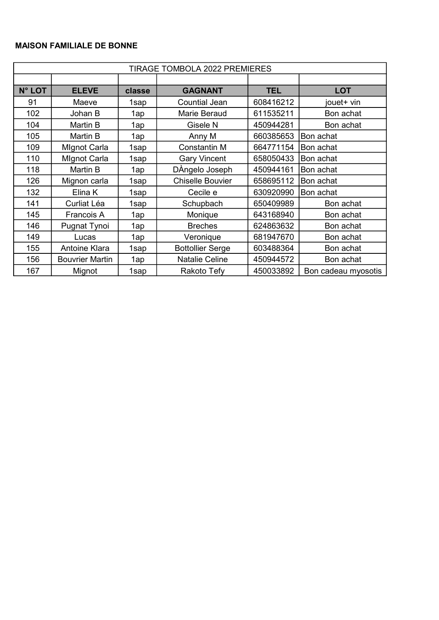| TIRAGE TOMBOLA 2022 PREMIERES |                        |        |                         |            |                     |  |
|-------------------------------|------------------------|--------|-------------------------|------------|---------------------|--|
|                               |                        |        |                         |            |                     |  |
| <b>N° LOT</b>                 | <b>ELEVE</b>           | classe | <b>GAGNANT</b>          | <b>TEL</b> | <b>LOT</b>          |  |
| 91                            | Maeve                  | 1sap   | <b>Countial Jean</b>    | 608416212  | jouet+ vin          |  |
| 102                           | Johan B                | 1ap    | Marie Beraud            | 611535211  | Bon achat           |  |
| 104                           | Martin B               | 1ap    | Gisele N                | 450944281  | Bon achat           |  |
| 105                           | Martin B               | 1ap    | Anny M                  | 660385653  | Bon achat           |  |
| 109                           | <b>Mignot Carla</b>    | 1sap   | <b>Constantin M</b>     | 664771154  | Bon achat           |  |
| 110                           | <b>Mignot Carla</b>    | 1sap   | <b>Gary Vincent</b>     | 658050433  | Bon achat           |  |
| 118                           | Martin B               | 1ap    | DÀngelo Joseph          | 450944161  | Bon achat           |  |
| 126                           | Mignon carla           | 1sap   | <b>Chiselle Bouvier</b> | 658695112  | Bon achat           |  |
| 132                           | Elina K                | 1sap   | Cecile e                | 630920990  | Bon achat           |  |
| 141                           | Curliat Léa            | 1sap   | Schupbach               | 650409989  | Bon achat           |  |
| 145                           | Francois A             | 1ap    | Monique                 | 643168940  | Bon achat           |  |
| 146                           | Pugnat Tynoi           | 1ap    | <b>Breches</b>          | 624863632  | Bon achat           |  |
| 149                           | Lucas                  | 1ap    | Veronique               | 681947670  | Bon achat           |  |
| 155                           | <b>Antoine Klara</b>   | 1sap   | <b>Bottollier Serge</b> | 603488364  | Bon achat           |  |
| 156                           | <b>Bouvrier Martin</b> | 1ap    | <b>Natalie Celine</b>   | 450944572  | Bon achat           |  |
| 167                           | Mignot                 | 1sap   | Rakoto Tefy             | 450033892  | Bon cadeau myosotis |  |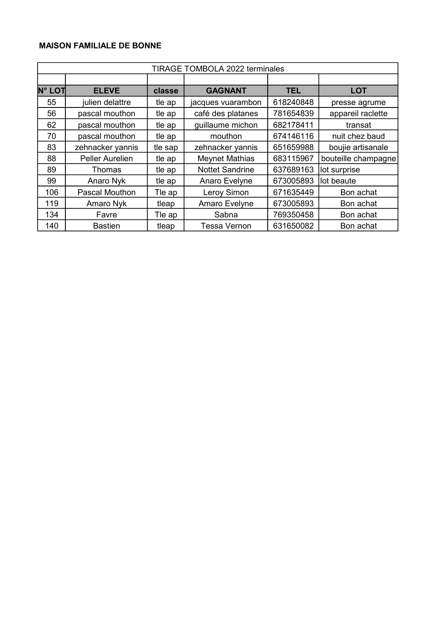|               | TIRAGE TOMBOLA 2022 terminales |         |                        |            |                     |  |  |  |
|---------------|--------------------------------|---------|------------------------|------------|---------------------|--|--|--|
|               |                                |         |                        |            |                     |  |  |  |
| <b>N° LOT</b> | <b>ELEVE</b>                   | classe  | <b>GAGNANT</b>         | <b>TEL</b> | <b>LOT</b>          |  |  |  |
| 55            | julien delattre                | tle ap  | jacques vuarambon      | 618240848  | presse agrume       |  |  |  |
| 56            | pascal mouthon                 | tle ap  | café des platanes      | 781654839  | appareil raclette   |  |  |  |
| 62            | pascal mouthon                 | tle ap  | guillaume michon       | 682178411  | transat             |  |  |  |
| 70            | pascal mouthon                 | tle ap  | mouthon                | 674146116  | nuit chez baud      |  |  |  |
| 83            | zehnacker yannis               | tle sap | zehnacker yannis       | 651659988  | boujie artisanale   |  |  |  |
| 88            | <b>Peller Aurelien</b>         | tle ap  | <b>Meynet Mathias</b>  | 683115967  | bouteille champagne |  |  |  |
| 89            | Thomas                         | tle ap  | <b>Nottet Sandrine</b> | 637689163  | lot surprise        |  |  |  |
| 99            | Anaro Nyk                      | tle ap  | Anaro Evelyne          | 673005893  | lot beaute          |  |  |  |
| 106           | <b>Pascal Mouthon</b>          | Tle ap  | Leroy Simon            | 671635449  | Bon achat           |  |  |  |
| 119           | Amaro Nyk                      | tleap   | Amaro Evelyne          | 673005893  | Bon achat           |  |  |  |
| 134           | Favre                          | Tle ap  | Sabna                  | 769350458  | Bon achat           |  |  |  |
| 140           | <b>Bastien</b>                 | tleap   | <b>Tessa Vernon</b>    | 631650082  | Bon achat           |  |  |  |